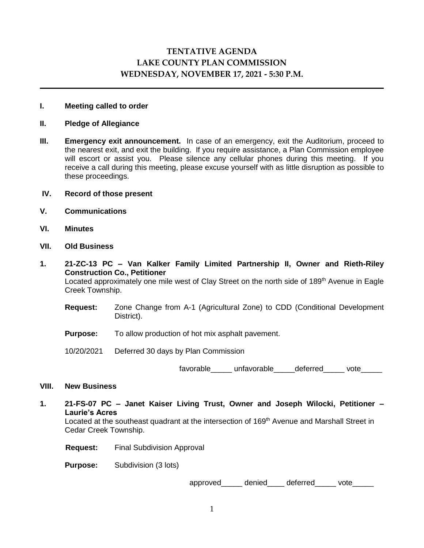# **TENTATIVE AGENDA LAKE COUNTY PLAN COMMISSION WEDNESDAY, NOVEMBER 17, 2021 - 5:30 P.M.**

## **I. Meeting called to order**

#### **II. Pledge of Allegiance**

**III. Emergency exit announcement.** In case of an emergency, exit the Auditorium, proceed to the nearest exit, and exit the building. If you require assistance, a Plan Commission employee will escort or assist you. Please silence any cellular phones during this meeting. If you receive a call during this meeting, please excuse yourself with as little disruption as possible to these proceedings.

#### **IV. Record of those present**

- **V. Communications**
- **VI. Minutes**
- **VII. Old Business**
- **1. 21-ZC-13 PC – Van Kalker Family Limited Partnership II, Owner and Rieth-Riley Construction Co., Petitioner**

Located approximately one mile west of Clay Street on the north side of 189<sup>th</sup> Avenue in Eagle Creek Township.

- **Request:** Zone Change from A-1 (Agricultural Zone) to CDD (Conditional Development District).
- **Purpose:** To allow production of hot mix asphalt pavement.
- 10/20/2021 Deferred 30 days by Plan Commission

favorable unfavorable deferred vote

## **VIII. New Business**

**1. 21-FS-07 PC – Janet Kaiser Living Trust, Owner and Joseph Wilocki, Petitioner – Laurie's Acres**

Located at the southeast quadrant at the intersection of 169<sup>th</sup> Avenue and Marshall Street in Cedar Creek Township.

**Request:** Final Subdivision Approval

**Purpose:** Subdivision (3 lots)

approved denied deferred vote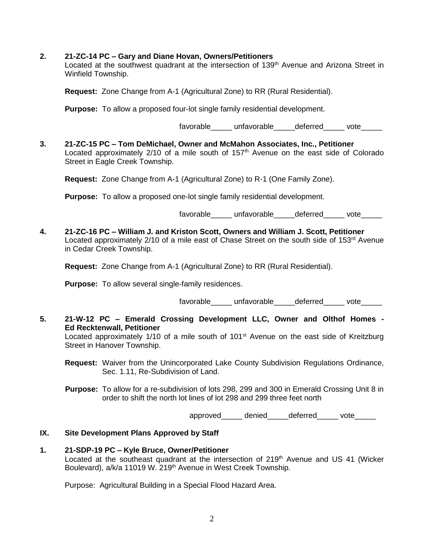## **2. 21-ZC-14 PC – Gary and Diane Hovan, Owners/Petitioners**

Located at the southwest quadrant at the intersection of 139<sup>th</sup> Avenue and Arizona Street in Winfield Township.

**Request:** Zone Change from A-1 (Agricultural Zone) to RR (Rural Residential).

**Purpose:** To allow a proposed four-lot single family residential development.

favorable unfavorable deferred vote

**3. 21-ZC-15 PC – Tom DeMichael, Owner and McMahon Associates, Inc., Petitioner** Located approximately  $2/10$  of a mile south of  $157<sup>th</sup>$  Avenue on the east side of Colorado Street in Eagle Creek Township.

**Request:** Zone Change from A-1 (Agricultural Zone) to R-1 (One Family Zone).

**Purpose:** To allow a proposed one-lot single family residential development.

favorable\_\_\_\_\_\_ unfavorable\_\_\_\_\_deferred\_\_\_\_\_ vote\_\_\_\_\_

**4. 21-ZC-16 PC – William J. and Kriston Scott, Owners and William J. Scott, Petitioner** Located approximately 2/10 of a mile east of Chase Street on the south side of 153<sup>rd</sup> Avenue in Cedar Creek Township.

**Request:** Zone Change from A-1 (Agricultural Zone) to RR (Rural Residential).

**Purpose:** To allow several single-family residences.

favorable unfavorable deferred vote

**5. 21-W-12 PC – Emerald Crossing Development LLC, Owner and Olthof Homes - Ed Recktenwall, Petitioner**

Located approximately 1/10 of a mile south of 101<sup>st</sup> Avenue on the east side of Kreitzburg Street in Hanover Township.

- **Request:** Waiver from the Unincorporated Lake County Subdivision Regulations Ordinance, Sec. 1.11, Re-Subdivision of Land.
- **Purpose:** To allow for a re-subdivision of lots 298, 299 and 300 in Emerald Crossing Unit 8 in order to shift the north lot lines of lot 298 and 299 three feet north

approved denied deferred vote

# **IX. Site Development Plans Approved by Staff**

**1. 21-SDP-19 PC – Kyle Bruce, Owner/Petitioner** Located at the southeast quadrant at the intersection of 219<sup>th</sup> Avenue and US 41 (Wicker Boulevard), a/k/a 11019 W. 219<sup>th</sup> Avenue in West Creek Township.

Purpose: Agricultural Building in a Special Flood Hazard Area.